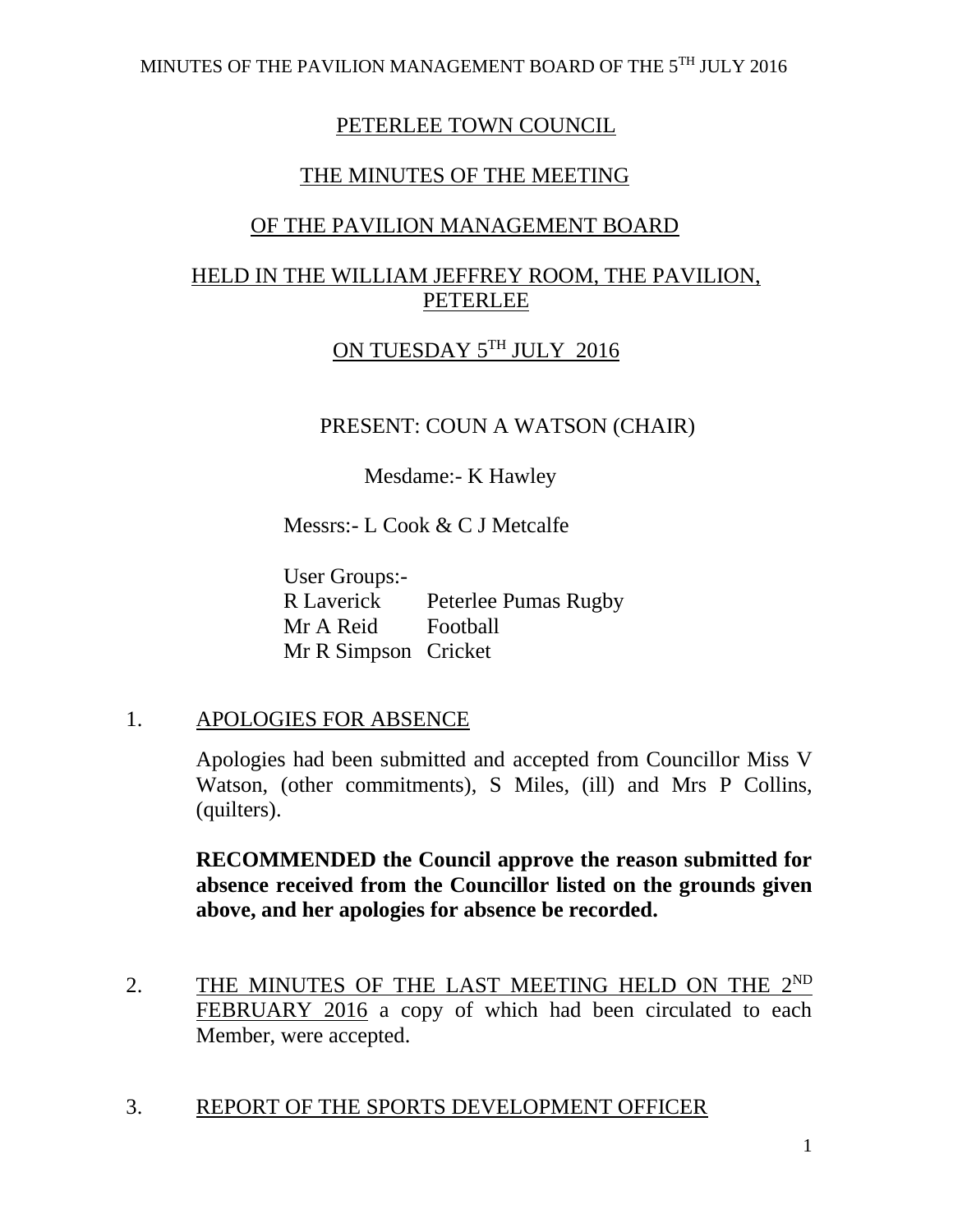## PETERLEE TOWN COUNCIL

# THE MINUTES OF THE MEETING

# OF THE PAVILION MANAGEMENT BOARD

# HELD IN THE WILLIAM JEFFREY ROOM, THE PAVILION, PETERLEE

# ON TUESDAY 5TH JULY 2016

PRESENT: COUN A WATSON (CHAIR)

Mesdame:- K Hawley

Messrs:- L Cook & C J Metcalfe

User Groups:- R Laverick Peterlee Pumas Rugby Mr A Reid Football Mr R Simpson Cricket

#### 1. APOLOGIES FOR ABSENCE

Apologies had been submitted and accepted from Councillor Miss V Watson, (other commitments), S Miles, (ill) and Mrs P Collins, (quilters).

**RECOMMENDED the Council approve the reason submitted for absence received from the Councillor listed on the grounds given above, and her apologies for absence be recorded.** 

2. THE MINUTES OF THE LAST MEETING HELD ON THE 2ND FEBRUARY 2016 a copy of which had been circulated to each Member, were accepted.

#### 3. REPORT OF THE SPORTS DEVELOPMENT OFFICER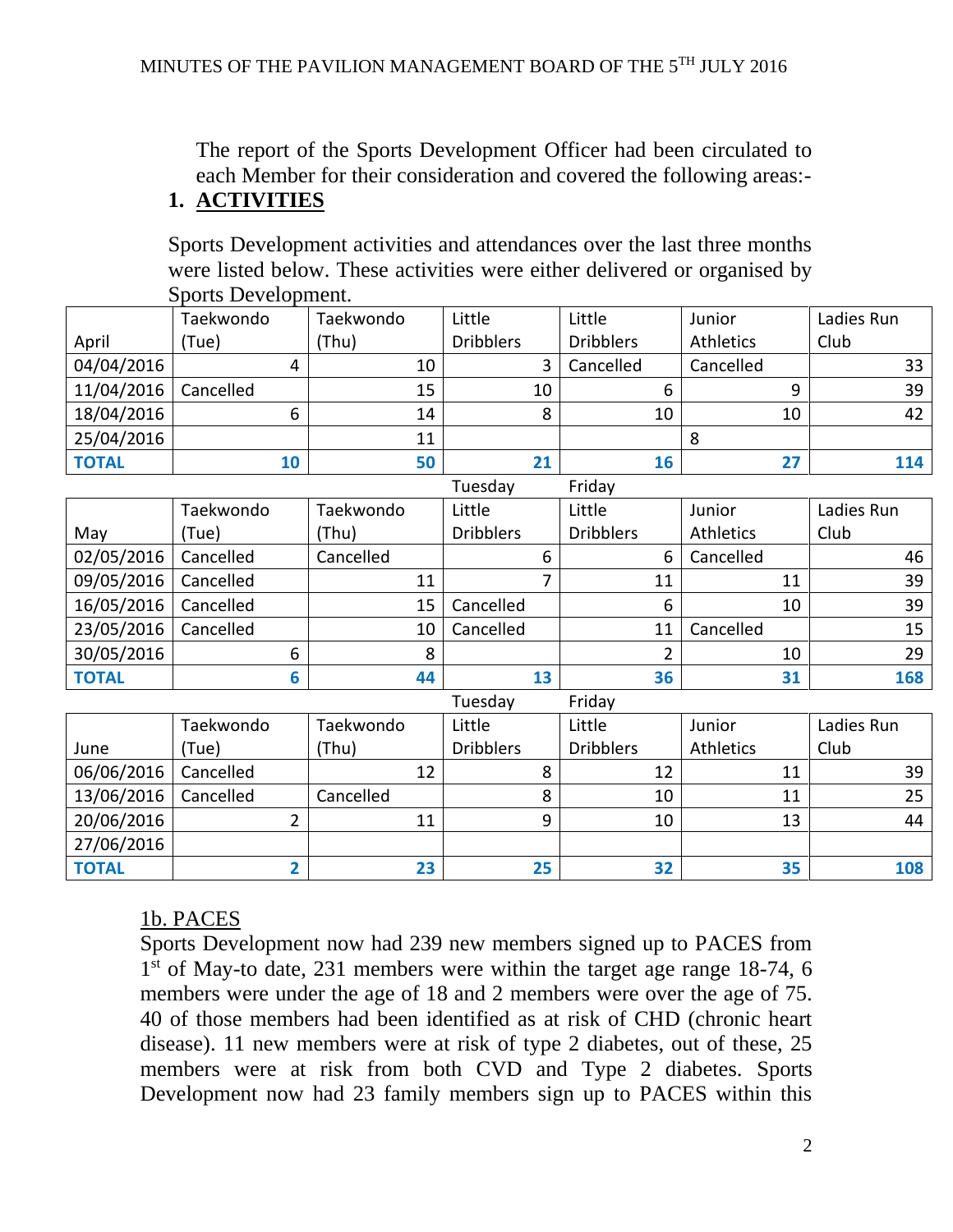The report of the Sports Development Officer had been circulated to each Member for their consideration and covered the following areas:- **1. ACTIVITIES**

Sports Development activities and attendances over the last three months were listed below. These activities were either delivered or organised by Sports Development.

|                   | Taekwondo               | Taekwondo | Little           | Little           | Junior           | Ladies Run |
|-------------------|-------------------------|-----------|------------------|------------------|------------------|------------|
| April             | (Tue)                   | (Thu)     | <b>Dribblers</b> | <b>Dribblers</b> | Athletics        | Club       |
| 04/04/2016        | 4                       | 10        | 3                | Cancelled        | Cancelled        | 33         |
| 11/04/2016        | Cancelled               | 15        | 10               | 6                | 9                | 39         |
| 18/04/2016        | 6                       | 14        | 8                | 10               | 10               | 42         |
| 25/04/2016        |                         | 11        |                  |                  | 8                |            |
| <b>TOTAL</b>      | 10                      | 50        | 21               | 16               | 27               | 114        |
| Tuesday<br>Friday |                         |           |                  |                  |                  |            |
|                   | Taekwondo               | Taekwondo | Little           | Little           | Junior           | Ladies Run |
| May               | (Tue)                   | (Thu)     | <b>Dribblers</b> | <b>Dribblers</b> | <b>Athletics</b> | Club       |
| 02/05/2016        | Cancelled               | Cancelled | 6                | 6                | Cancelled        | 46         |
| 09/05/2016        | Cancelled               | 11        | 7                | 11               | 11               | 39         |
| 16/05/2016        | Cancelled               | 15        | Cancelled        | 6                | 10               | 39         |
| 23/05/2016        | Cancelled               | 10        | Cancelled        | 11               | Cancelled        | 15         |
| 30/05/2016        | 6                       | 8         |                  | $\overline{2}$   | 10               | 29         |
| <b>TOTAL</b>      | 6                       | 44        | 13               | 36               | 31               | 168        |
|                   |                         |           | Tuesday          | Friday           |                  |            |
|                   | Taekwondo               | Taekwondo | Little           | Little           | Junior           | Ladies Run |
| June              | (Tue)                   | (Thu)     | <b>Dribblers</b> | <b>Dribblers</b> | Athletics        | Club       |
| 06/06/2016        | Cancelled               | 12        | 8                | 12               | 11               | 39         |
| 13/06/2016        | Cancelled               | Cancelled | 8                | 10               | 11               | 25         |
| 20/06/2016        | $\overline{2}$          | 11        | 9                | 10               | 13               | 44         |
| 27/06/2016        |                         |           |                  |                  |                  |            |
| <b>TOTAL</b>      | $\overline{\mathbf{2}}$ | 23        | 25 <sub>2</sub>  | 32               | 35               | 108        |

#### 1b. PACES

Sports Development now had 239 new members signed up to PACES from 1<sup>st</sup> of May-to date, 231 members were within the target age range 18-74, 6 members were under the age of 18 and 2 members were over the age of 75. 40 of those members had been identified as at risk of CHD (chronic heart disease). 11 new members were at risk of type 2 diabetes, out of these, 25 members were at risk from both CVD and Type 2 diabetes. Sports Development now had 23 family members sign up to PACES within this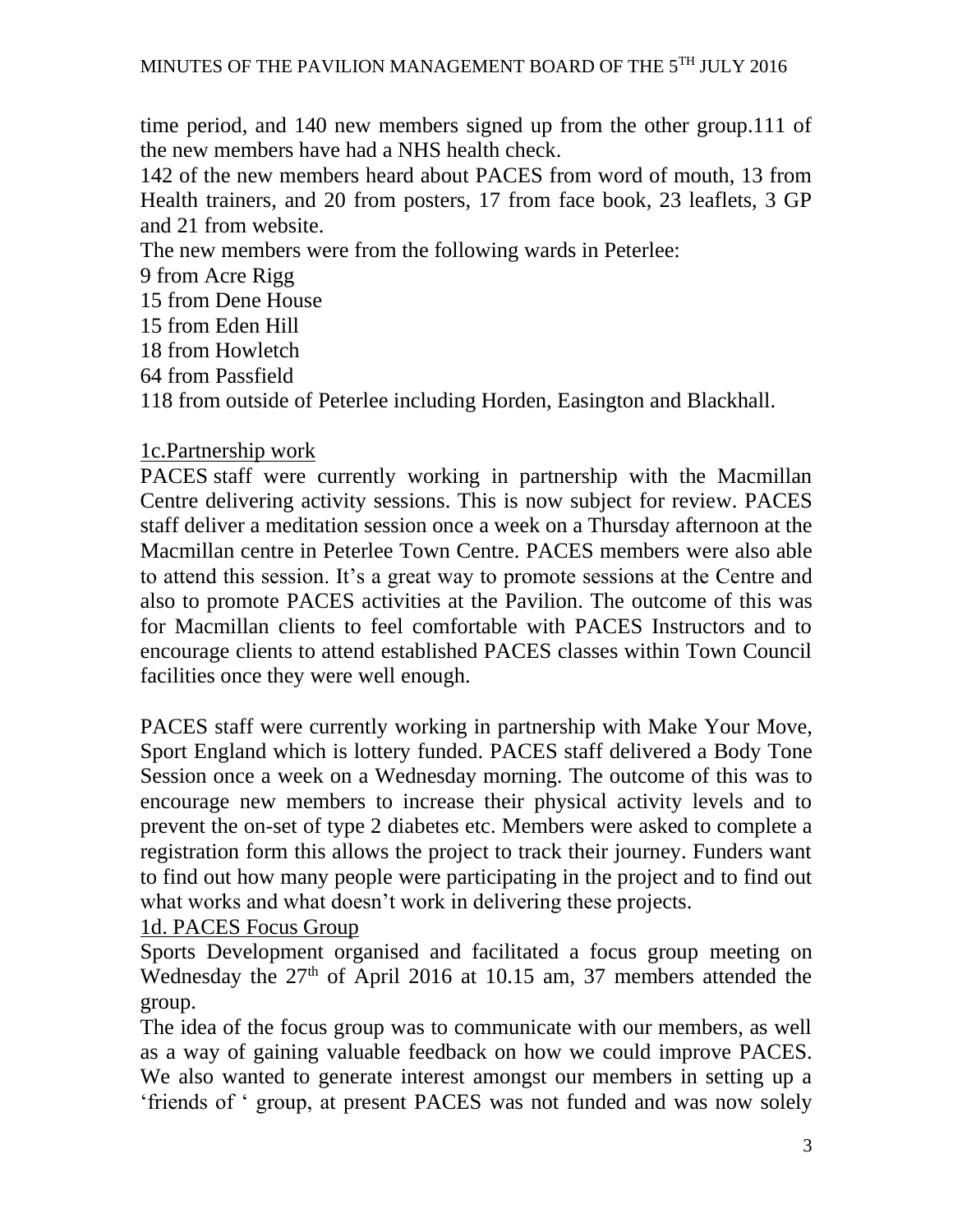time period, and 140 new members signed up from the other group.111 of the new members have had a NHS health check.

142 of the new members heard about PACES from word of mouth, 13 from Health trainers, and 20 from posters, 17 from face book, 23 leaflets, 3 GP and 21 from website.

The new members were from the following wards in Peterlee:

9 from Acre Rigg

15 from Dene House

15 from Eden Hill

18 from Howletch

64 from Passfield

118 from outside of Peterlee including Horden, Easington and Blackhall.

#### 1c.Partnership work

PACES staff were currently working in partnership with the Macmillan Centre delivering activity sessions. This is now subject for review. PACES staff deliver a meditation session once a week on a Thursday afternoon at the Macmillan centre in Peterlee Town Centre. PACES members were also able to attend this session. It's a great way to promote sessions at the Centre and also to promote PACES activities at the Pavilion. The outcome of this was for Macmillan clients to feel comfortable with PACES Instructors and to encourage clients to attend established PACES classes within Town Council facilities once they were well enough.

PACES staff were currently working in partnership with Make Your Move, Sport England which is lottery funded. PACES staff delivered a Body Tone Session once a week on a Wednesday morning. The outcome of this was to encourage new members to increase their physical activity levels and to prevent the on-set of type 2 diabetes etc. Members were asked to complete a registration form this allows the project to track their journey. Funders want to find out how many people were participating in the project and to find out what works and what doesn't work in delivering these projects.

#### 1d. PACES Focus Group

Sports Development organised and facilitated a focus group meeting on Wednesday the  $27<sup>th</sup>$  of April 2016 at 10.15 am, 37 members attended the group.

The idea of the focus group was to communicate with our members, as well as a way of gaining valuable feedback on how we could improve PACES. We also wanted to generate interest amongst our members in setting up a 'friends of ' group, at present PACES was not funded and was now solely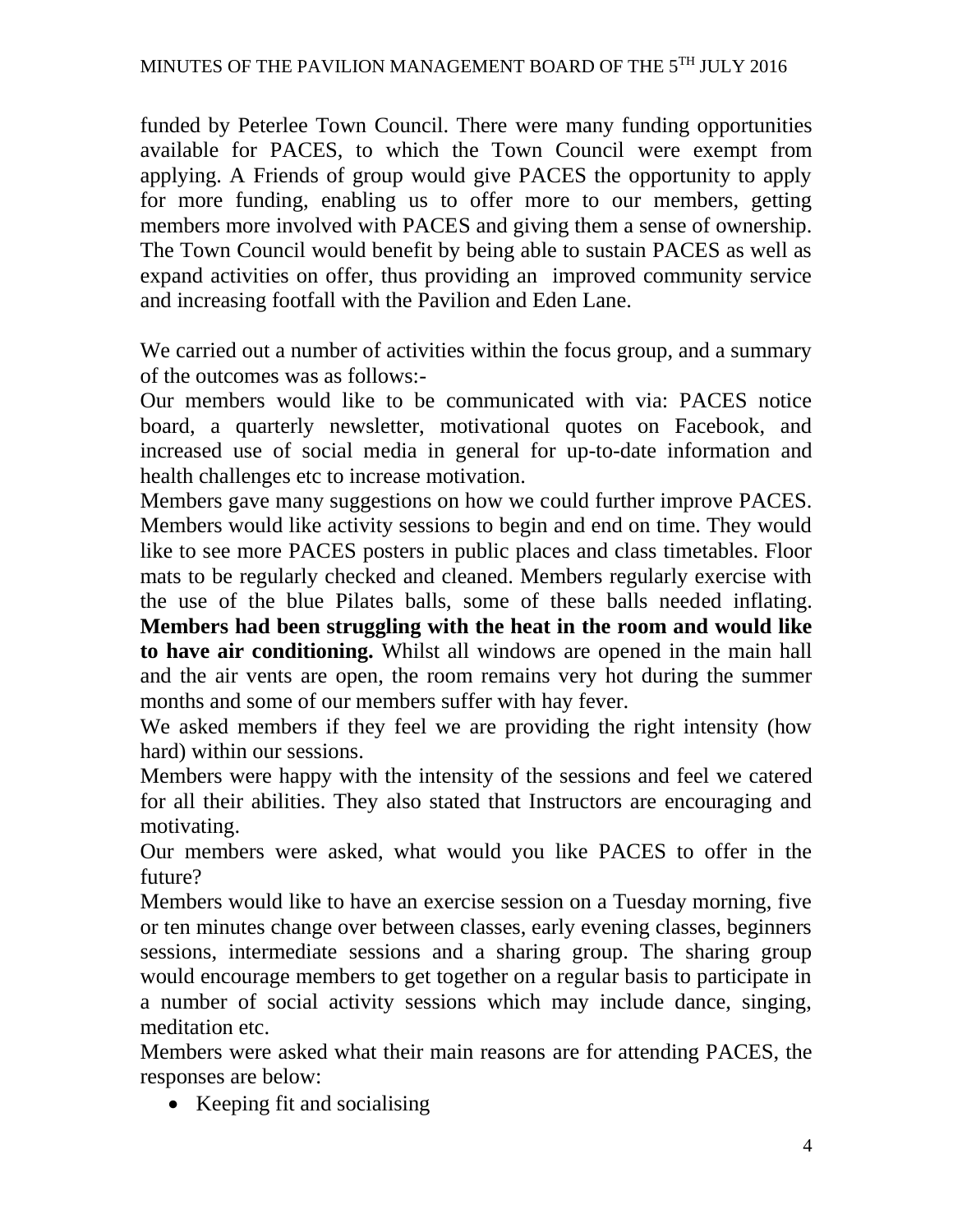funded by Peterlee Town Council. There were many funding opportunities available for PACES, to which the Town Council were exempt from applying. A Friends of group would give PACES the opportunity to apply for more funding, enabling us to offer more to our members, getting members more involved with PACES and giving them a sense of ownership. The Town Council would benefit by being able to sustain PACES as well as expand activities on offer, thus providing an improved community service and increasing footfall with the Pavilion and Eden Lane.

We carried out a number of activities within the focus group, and a summary of the outcomes was as follows:-

Our members would like to be communicated with via: PACES notice board, a quarterly newsletter, motivational quotes on Facebook, and increased use of social media in general for up-to-date information and health challenges etc to increase motivation.

Members gave many suggestions on how we could further improve PACES. Members would like activity sessions to begin and end on time. They would like to see more PACES posters in public places and class timetables. Floor mats to be regularly checked and cleaned. Members regularly exercise with the use of the blue Pilates balls, some of these balls needed inflating. **Members had been struggling with the heat in the room and would like to have air conditioning.** Whilst all windows are opened in the main hall and the air vents are open, the room remains very hot during the summer months and some of our members suffer with hay fever.

We asked members if they feel we are providing the right intensity (how hard) within our sessions.

Members were happy with the intensity of the sessions and feel we catered for all their abilities. They also stated that Instructors are encouraging and motivating.

Our members were asked, what would you like PACES to offer in the future?

Members would like to have an exercise session on a Tuesday morning, five or ten minutes change over between classes, early evening classes, beginners sessions, intermediate sessions and a sharing group. The sharing group would encourage members to get together on a regular basis to participate in a number of social activity sessions which may include dance, singing, meditation etc.

Members were asked what their main reasons are for attending PACES, the responses are below:

• Keeping fit and socialising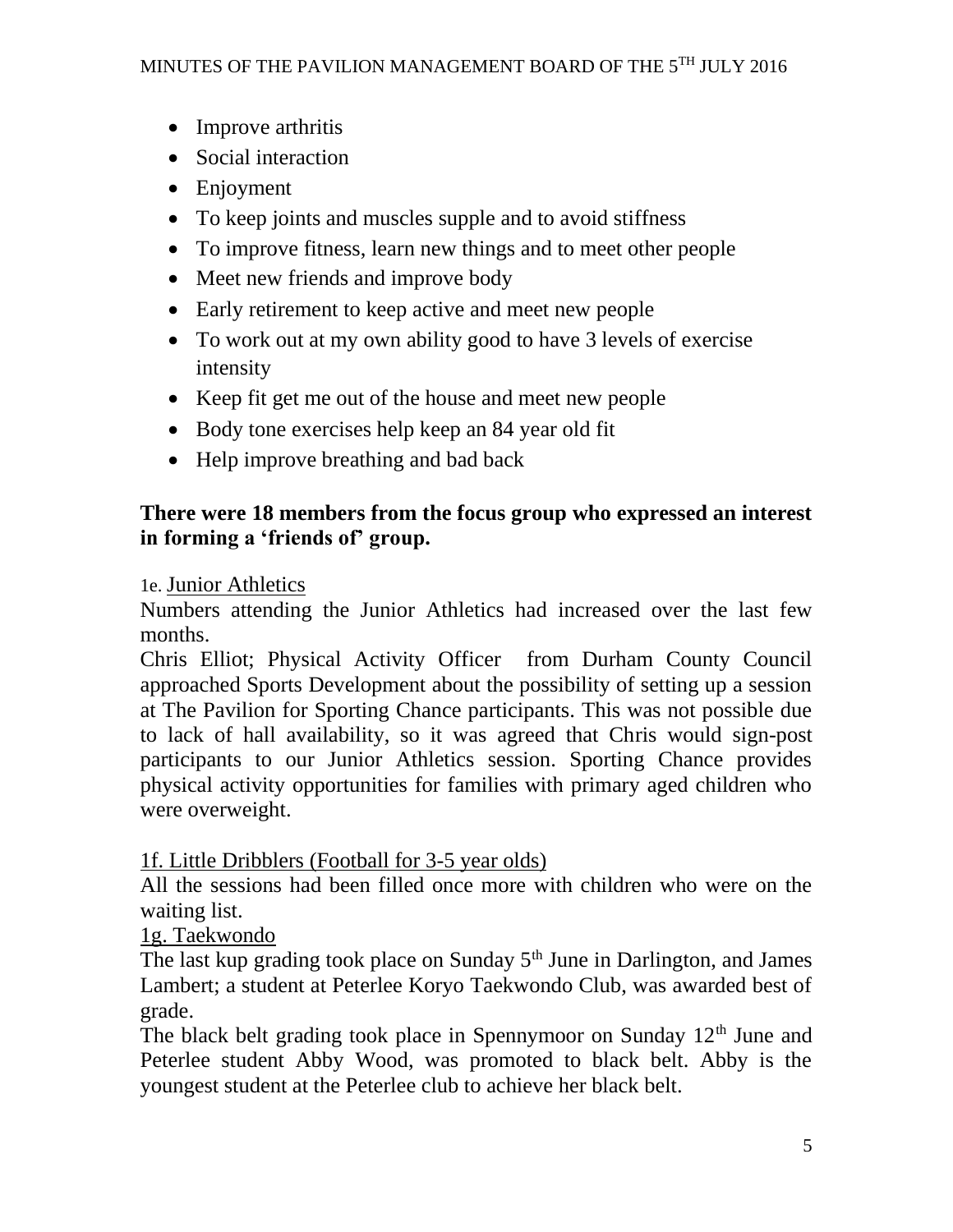- Improve arthritis
- Social interaction
- Enjoyment
- To keep joints and muscles supple and to avoid stiffness
- To improve fitness, learn new things and to meet other people
- Meet new friends and improve body
- Early retirement to keep active and meet new people
- To work out at my own ability good to have 3 levels of exercise intensity
- Keep fit get me out of the house and meet new people
- Body tone exercises help keep an 84 year old fit
- Help improve breathing and bad back

# **There were 18 members from the focus group who expressed an interest in forming a 'friends of' group.**

# 1e. Junior Athletics

Numbers attending the Junior Athletics had increased over the last few months.

Chris Elliot; Physical Activity Officer from Durham County Council approached Sports Development about the possibility of setting up a session at The Pavilion for Sporting Chance participants. This was not possible due to lack of hall availability, so it was agreed that Chris would sign-post participants to our Junior Athletics session. Sporting Chance provides physical activity opportunities for families with primary aged children who were overweight.

# 1f. Little Dribblers (Football for 3-5 year olds)

All the sessions had been filled once more with children who were on the waiting list.

1g. Taekwondo

The last kup grading took place on Sunday  $5<sup>th</sup>$  June in Darlington, and James Lambert; a student at Peterlee Koryo Taekwondo Club, was awarded best of grade.

The black belt grading took place in Spennymoor on Sunday  $12<sup>th</sup>$  June and Peterlee student Abby Wood, was promoted to black belt. Abby is the youngest student at the Peterlee club to achieve her black belt.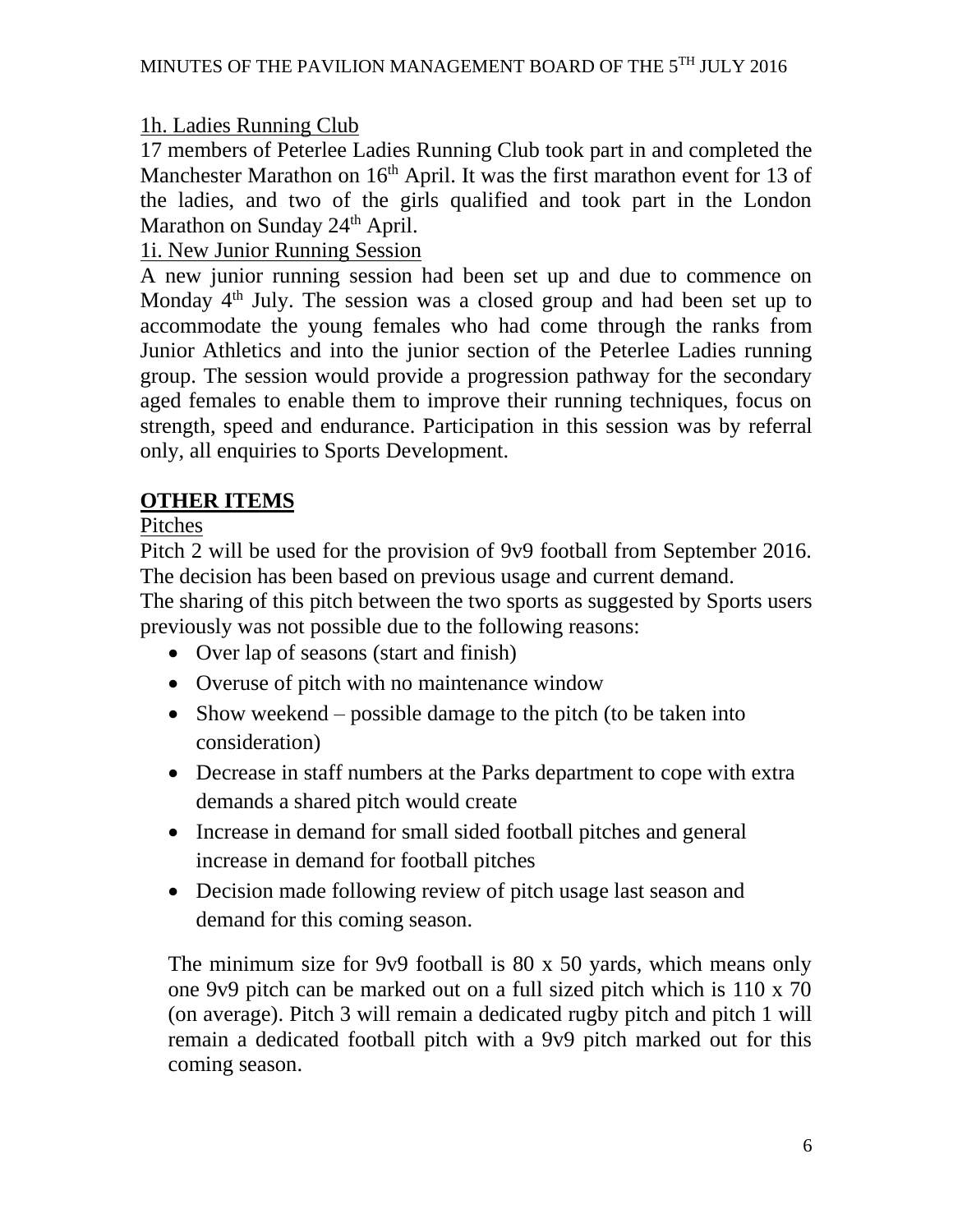# 1h. Ladies Running Club

17 members of Peterlee Ladies Running Club took part in and completed the Manchester Marathon on  $16<sup>th</sup>$  April. It was the first marathon event for 13 of the ladies, and two of the girls qualified and took part in the London Marathon on Sunday  $24<sup>th</sup>$  April.

# 1i. New Junior Running Session

A new junior running session had been set up and due to commence on Monday 4<sup>th</sup> July. The session was a closed group and had been set up to accommodate the young females who had come through the ranks from Junior Athletics and into the junior section of the Peterlee Ladies running group. The session would provide a progression pathway for the secondary aged females to enable them to improve their running techniques, focus on strength, speed and endurance. Participation in this session was by referral only, all enquiries to Sports Development.

# **OTHER ITEMS**

Pitches

Pitch 2 will be used for the provision of 9v9 football from September 2016. The decision has been based on previous usage and current demand.

The sharing of this pitch between the two sports as suggested by Sports users previously was not possible due to the following reasons:

- Over lap of seasons (start and finish)
- Overuse of pitch with no maintenance window
- Show weekend possible damage to the pitch (to be taken into consideration)
- Decrease in staff numbers at the Parks department to cope with extra demands a shared pitch would create
- Increase in demand for small sided football pitches and general increase in demand for football pitches
- Decision made following review of pitch usage last season and demand for this coming season.

The minimum size for 9v9 football is 80 x 50 yards, which means only one 9v9 pitch can be marked out on a full sized pitch which is 110 x 70 (on average). Pitch 3 will remain a dedicated rugby pitch and pitch 1 will remain a dedicated football pitch with a 9v9 pitch marked out for this coming season.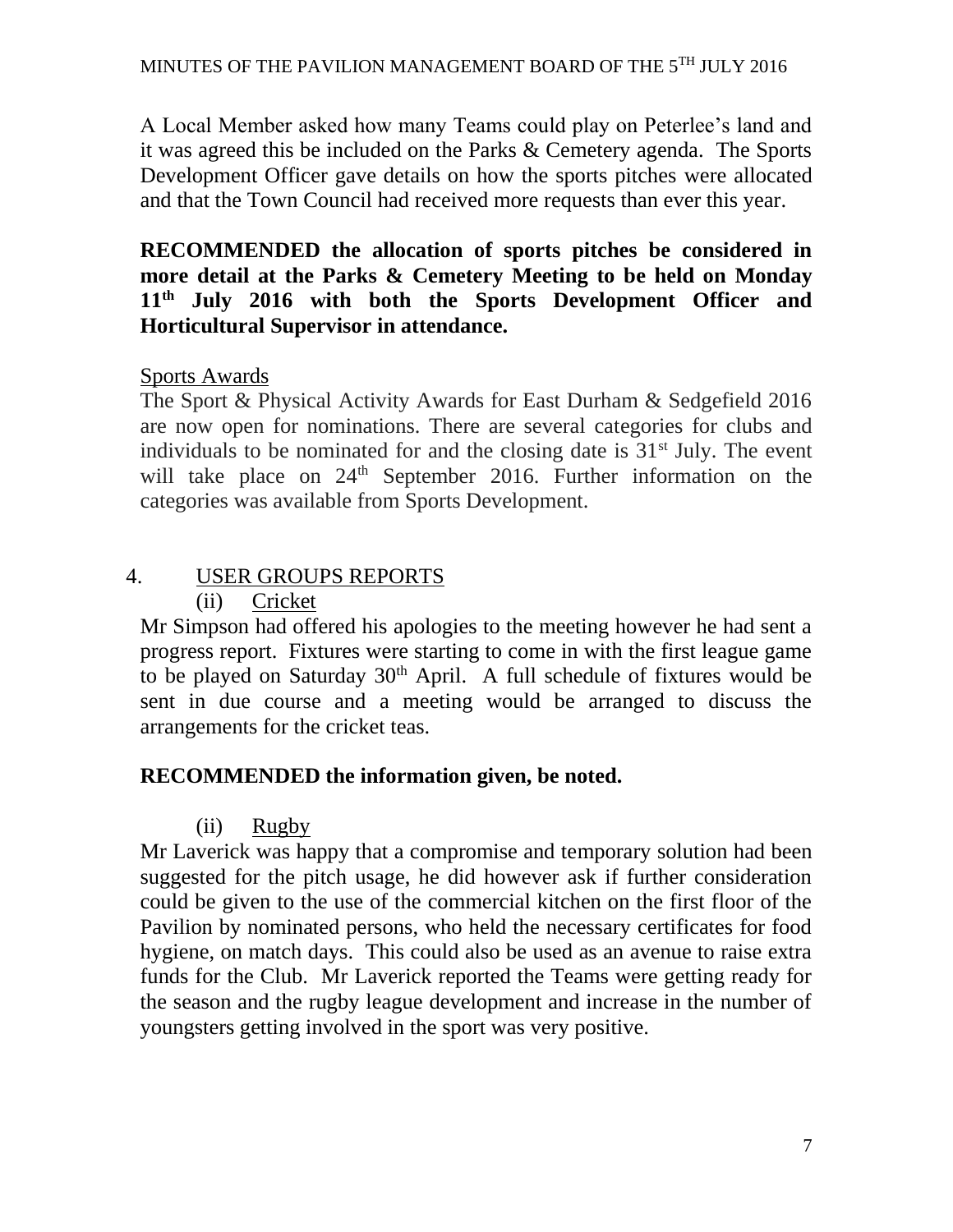A Local Member asked how many Teams could play on Peterlee's land and it was agreed this be included on the Parks & Cemetery agenda. The Sports Development Officer gave details on how the sports pitches were allocated and that the Town Council had received more requests than ever this year.

**RECOMMENDED the allocation of sports pitches be considered in more detail at the Parks & Cemetery Meeting to be held on Monday 11th July 2016 with both the Sports Development Officer and Horticultural Supervisor in attendance.**

# Sports Awards

The Sport & Physical Activity Awards for East Durham & Sedgefield 2016 are now open for nominations. There are several categories for clubs and individuals to be nominated for and the closing date is  $31<sup>st</sup>$  July. The event will take place on 24<sup>th</sup> September 2016. Further information on the categories was available from Sports Development.

#### 4. USER GROUPS REPORTS (ii) Cricket

Mr Simpson had offered his apologies to the meeting however he had sent a progress report. Fixtures were starting to come in with the first league game to be played on Saturday  $30<sup>th</sup>$  April. A full schedule of fixtures would be sent in due course and a meeting would be arranged to discuss the arrangements for the cricket teas.

# **RECOMMENDED the information given, be noted.**

# (ii) Rugby

Mr Laverick was happy that a compromise and temporary solution had been suggested for the pitch usage, he did however ask if further consideration could be given to the use of the commercial kitchen on the first floor of the Pavilion by nominated persons, who held the necessary certificates for food hygiene, on match days. This could also be used as an avenue to raise extra funds for the Club. Mr Laverick reported the Teams were getting ready for the season and the rugby league development and increase in the number of youngsters getting involved in the sport was very positive.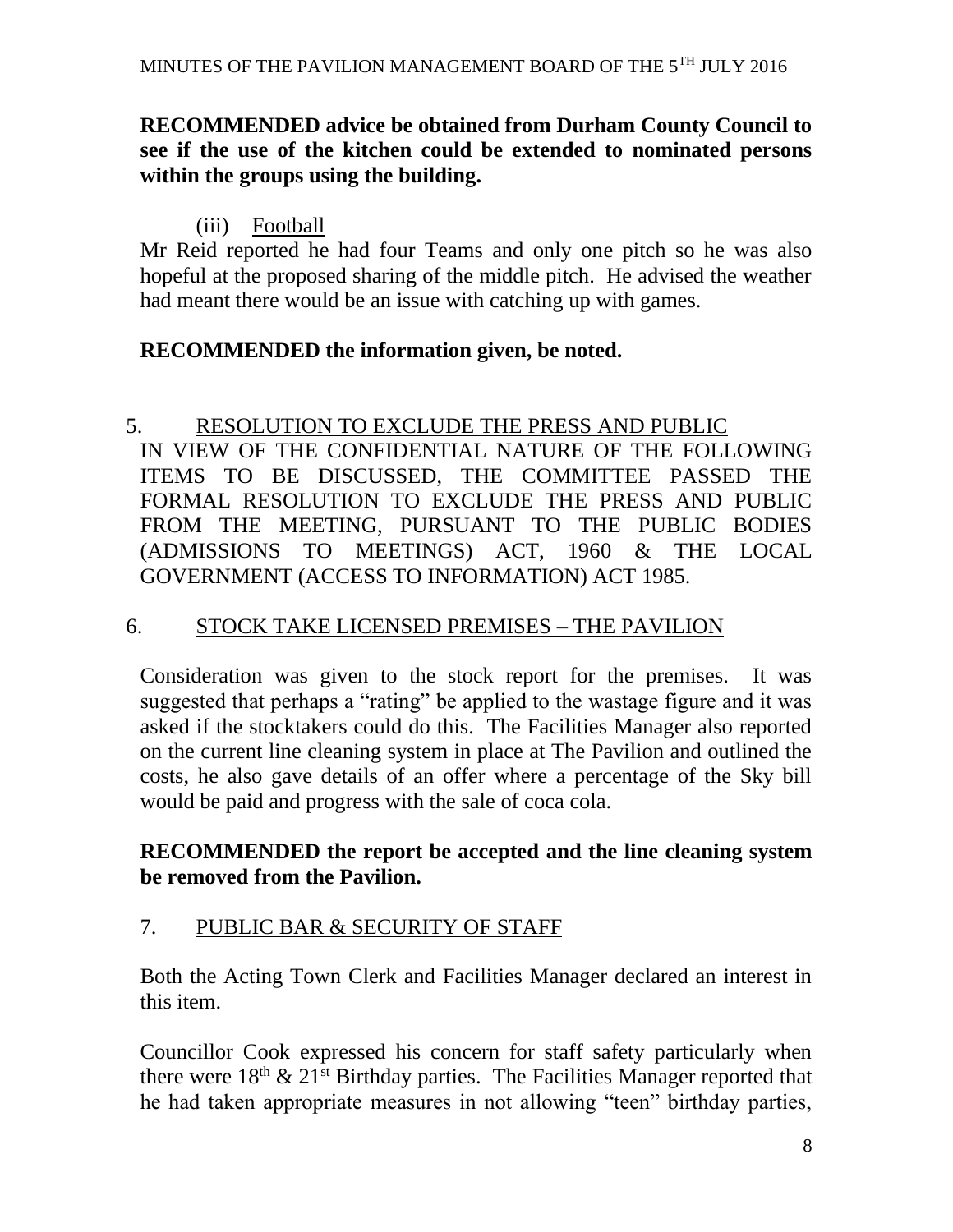#### **RECOMMENDED advice be obtained from Durham County Council to see if the use of the kitchen could be extended to nominated persons within the groups using the building.**

#### (iii) Football

Mr Reid reported he had four Teams and only one pitch so he was also hopeful at the proposed sharing of the middle pitch. He advised the weather had meant there would be an issue with catching up with games.

#### **RECOMMENDED the information given, be noted.**

# 5. RESOLUTION TO EXCLUDE THE PRESS AND PUBLIC

IN VIEW OF THE CONFIDENTIAL NATURE OF THE FOLLOWING ITEMS TO BE DISCUSSED, THE COMMITTEE PASSED THE FORMAL RESOLUTION TO EXCLUDE THE PRESS AND PUBLIC FROM THE MEETING, PURSUANT TO THE PUBLIC BODIES (ADMISSIONS TO MEETINGS) ACT, 1960 & THE LOCAL GOVERNMENT (ACCESS TO INFORMATION) ACT 1985.

#### 6. STOCK TAKE LICENSED PREMISES – THE PAVILION

Consideration was given to the stock report for the premises. It was suggested that perhaps a "rating" be applied to the wastage figure and it was asked if the stocktakers could do this. The Facilities Manager also reported on the current line cleaning system in place at The Pavilion and outlined the costs, he also gave details of an offer where a percentage of the Sky bill would be paid and progress with the sale of coca cola.

#### **RECOMMENDED the report be accepted and the line cleaning system be removed from the Pavilion.**

#### 7. PUBLIC BAR & SECURITY OF STAFF

Both the Acting Town Clerk and Facilities Manager declared an interest in this item.

Councillor Cook expressed his concern for staff safety particularly when there were  $18<sup>th</sup>$  &  $21<sup>st</sup>$  Birthday parties. The Facilities Manager reported that he had taken appropriate measures in not allowing "teen" birthday parties,